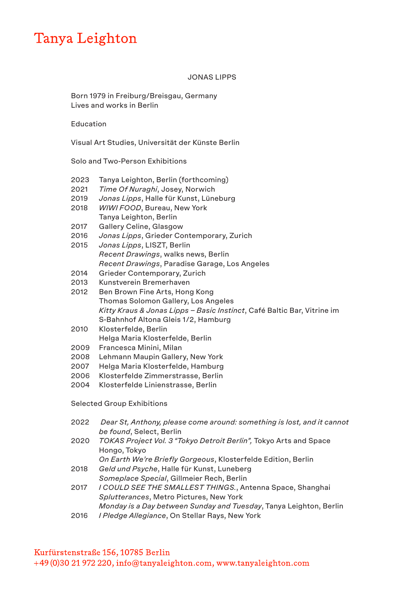## Tanya Leighton

## JONAS LIPPS

Born 1979 in Freiburg/Breisgau, Germany Lives and works in Berlin

Education

Visual Art Studies, Universität der Künste Berlin

Solo and Two-Person Exhibitions

- 2023 Tanya Leighton, Berlin (forthcoming)
- 2021 *Time Of Nuraghi*, Josey, Norwich
- 2019 *Jonas Lipps*, Halle für Kunst, Lüneburg
- 2018 *WIWI FOOD*, Bureau, New York Tanya Leighton, Berlin
- 2017 Gallery Celine, Glasgow
- 2016 *Jonas Lipps*, Grieder Contemporary, Zurich
- 2015 *Jonas Lipps*, LISZT, Berlin *Recent Drawings*, walks news, Berlin *Recent Drawings*, Paradise Garage, Los Angeles
- 2014 Grieder Contemporary, Zurich
- 2013 Kunstverein Bremerhaven
- 2012 Ben Brown Fine Arts, Hong Kong Thomas Solomon Gallery, Los Angeles *Kitty Kraus & Jonas Lipps – Basic Instinct*, Café Baltic Bar, Vitrine im S-Bahnhof Altona Gleis 1/2, Hamburg
- 2010 Klosterfelde, Berlin Helga Maria Klosterfelde, Berlin
- 2009 Francesca Minini, Milan
- 2008 Lehmann Maupin Gallery, New York
- 2007 Helga Maria Klosterfelde, Hamburg
- 2006 Klosterfelde Zimmerstrasse, Berlin
- 2004 Klosterfelde Linienstrasse, Berlin

Selected Group Exhibitions

- 2022 *Dear St, Anthony, please come around: something is lost, and it cannot be found*, Select, Berlin
- 2020 *TOKAS Project Vol. 3 "Tokyo Detroit Berlin",* Tokyo Arts and Space Hongo, Tokyo

*On Earth We're Briefly Gorgeous*, Klosterfelde Edition, Berlin 2018 *Geld und Psyche*, Halle für Kunst, Luneberg

- *Someplace Special*, Gillmeier Rech, Berlin
- 2017 *I COULD SEE THE SMALLEST THINGS.*, Antenna Space, Shanghai *Splutterances*, Metro Pictures, New York
- *Monday is a Day between Sunday and Tuesday*, Tanya Leighton, Berlin
- 2016 *I Pledge Allegiance*, On Stellar Rays, New York